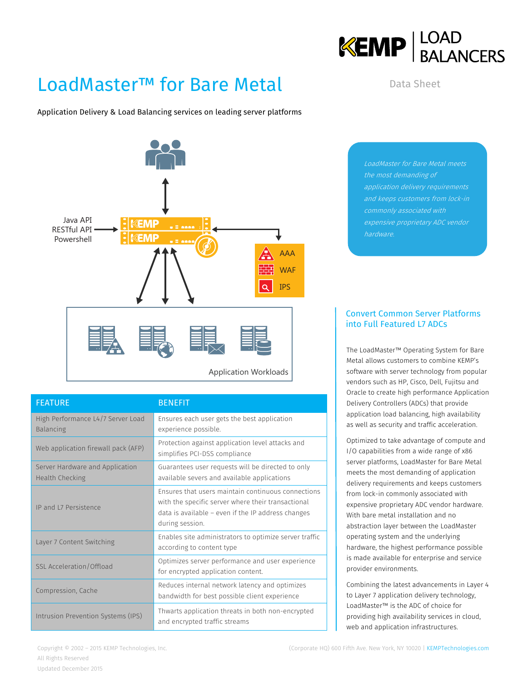## LoadMaster™ for Bare Metal

Application Delivery & Load Balancing services on leading server platforms



| <b>FEATURE</b>                                            | <b>BENEFIT</b>                                                                                                                                                                    |  |  |
|-----------------------------------------------------------|-----------------------------------------------------------------------------------------------------------------------------------------------------------------------------------|--|--|
| High Performance L4/7 Server Load<br><b>Balancing</b>     | Ensures each user gets the best application<br>experience possible.                                                                                                               |  |  |
| Web application firewall pack (AFP)                       | Protection against application level attacks and<br>simplifies PCI-DSS compliance                                                                                                 |  |  |
| Server Hardware and Application<br><b>Health Checking</b> | Guarantees user requests will be directed to only<br>available severs and available applications                                                                                  |  |  |
| IP and L7 Persistence                                     | Ensures that users maintain continuous connections<br>with the specific server where their transactional<br>data is available - even if the IP address changes<br>during session. |  |  |
| Layer 7 Content Switching                                 | Enables site administrators to optimize server traffic<br>according to content type                                                                                               |  |  |
| <b>SSL Acceleration/Offload</b>                           | Optimizes server performance and user experience<br>for encrypted application content.                                                                                            |  |  |
| Compression, Cache                                        | Reduces internal network latency and optimizes<br>bandwidth for best possible client experience                                                                                   |  |  |
| Intrusion Prevention Systems (IPS)                        | Thwarts application threats in both non-encrypted<br>and encrypted traffic streams                                                                                                |  |  |

LoadMaster for Bare Metal meets the most demanding of application delivery requirements commonly associated with hardware.

Data Sheet

**KEMP**  $\left| \frac{\text{LOAD}}{\text{BALANCERS}} \right|$ 

## Convert Common Server Platforms into Full Featured L7 ADCs

The LoadMaster™ Operating System for Bare Metal allows customers to combine KEMP's software with server technology from popular vendors such as HP, Cisco, Dell, Fujitsu and Oracle to create high performance Application Delivery Controllers (ADCs) that provide application load balancing, high availability as well as security and traffic acceleration.

Optimized to take advantage of compute and I/O capabilities from a wide range of x86 server platforms, LoadMaster for Bare Metal meets the most demanding of application delivery requirements and keeps customers from lock-in commonly associated with expensive proprietary ADC vendor hardware. With bare metal installation and no abstraction layer between the LoadMaster operating system and the underlying hardware, the highest performance possible is made available for enterprise and service provider environments.

Combining the latest advancements in Layer 4 to Layer 7 application delivery technology, LoadMaster™ is the ADC of choice for providing high availability services in cloud, web and application infrastructures.